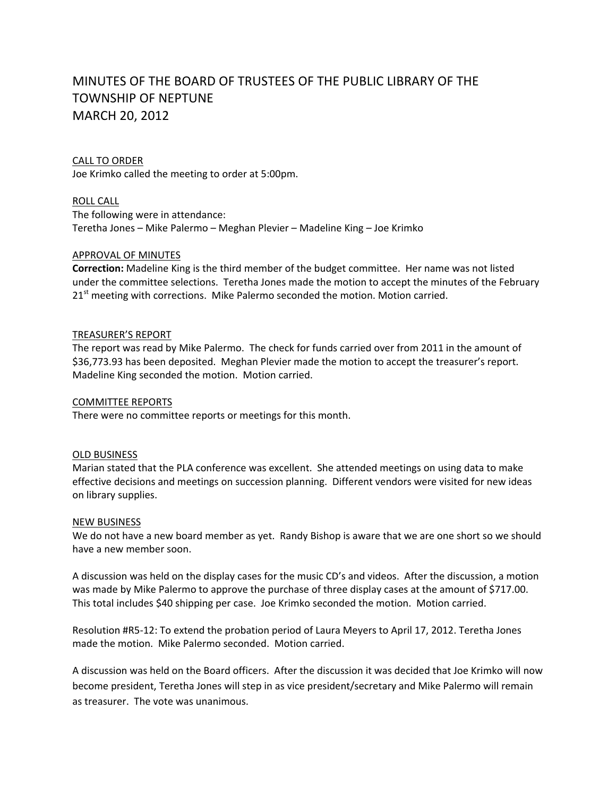# MINUTES OF THE BOARD OF TRUSTEES OF THE PUBLIC LIBRARY OF THE TOWNSHIP OF NEPTUNE MARCH 20, 2012

## CALL TO ORDER

Joe Krimko called the meeting to order at 5:00pm.

ROLL CALL

The following were in attendance: Teretha Jones – Mike Palermo – Meghan Plevier – Madeline King – Joe Krimko

# APPROVAL OF MINUTES

**Correction:** Madeline King is the third member of the budget committee. Her name was not listed under the committee selections. Teretha Jones made the motion to accept the minutes of the February  $21<sup>st</sup>$  meeting with corrections. Mike Palermo seconded the motion. Motion carried.

# TREASURER'S REPORT

The report was read by Mike Palermo. The check for funds carried over from 2011 in the amount of \$36,773.93 has been deposited. Meghan Plevier made the motion to accept the treasurer's report. Madeline King seconded the motion. Motion carried.

# COMMITTEE REPORTS

There were no committee reports or meetings for this month.

## OLD BUSINESS

Marian stated that the PLA conference was excellent. She attended meetings on using data to make effective decisions and meetings on succession planning. Different vendors were visited for new ideas on library supplies.

## NEW BUSINESS

We do not have a new board member as yet. Randy Bishop is aware that we are one short so we should have a new member soon.

A discussion was held on the display cases for the music CD's and videos. After the discussion, a motion was made by Mike Palermo to approve the purchase of three display cases at the amount of \$717.00. This total includes \$40 shipping per case. Joe Krimko seconded the motion. Motion carried.

Resolution #R5‐12: To extend the probation period of Laura Meyers to April 17, 2012. Teretha Jones made the motion. Mike Palermo seconded. Motion carried.

A discussion was held on the Board officers. After the discussion it was decided that Joe Krimko will now become president, Teretha Jones will step in as vice president/secretary and Mike Palermo will remain as treasurer. The vote was unanimous.